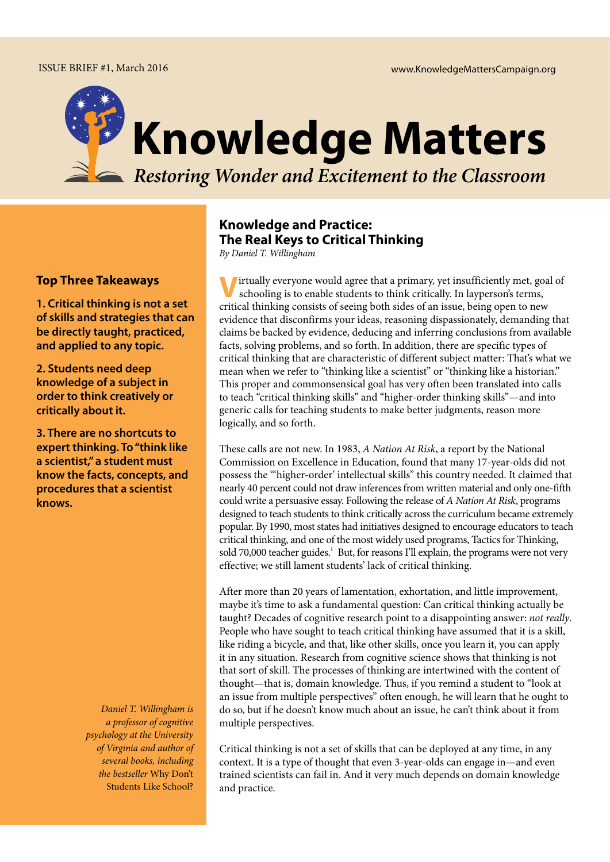ISSUE BRIEF #1, March 2016 www.KnowledgeMattersCampaign.org



### **Top Three Takeaways**

**1. Critical thinking is not a set of skills and strategies that can be directly taught, practiced, and applied to any topic.** 

**2. Students need deep knowledge of a subject in order to think creatively or critically about it.** 

**3. There are no shortcuts to expert thinking. To "think like a scientist," a student must know the facts, concepts, and procedures that a scientist knows.** 

> *Daniel T. Willingham is a professor of cognitive psychology at the University of Virginia and author of several books, including the bestseller* Why Don't Students Like School?

### **Knowledge and Practice: The Real Keys to Critical Thinking**

*By Daniel T. Willingham*

**V**irtually everyone would agree that a primary, yet insufficiently met, goal of schooling is to enable students to think critically. In layperson's terms, critical thinking consists of seeing both sides of an issue, being open to new evidence that disconfirms your ideas, reasoning dispassionately, demanding that claims be backed by evidence, deducing and inferring conclusions from available facts, solving problems, and so forth. In addition, there are specific types of critical thinking that are characteristic of different subject matter: That's what we mean when we refer to "thinking like a scientist" or "thinking like a historian." This proper and commonsensical goal has very often been translated into calls to teach "critical thinking skills" and "higher-order thinking skills"—and into generic calls for teaching students to make better judgments, reason more logically, and so forth.

These calls are not new. In 1983, *A Nation At Risk*, a report by the National Commission on Excellence in Education, found that many 17-year-olds did not possess the "'higher-order' intellectual skills" this country needed. It claimed that nearly 40 percent could not draw inferences from written material and only one-fifth could write a persuasive essay. Following the release of *A Nation At Risk*, programs designed to teach students to think critically across the curriculum became extremely popular. By 1990, most states had initiatives designed to encourage educators to teach critical thinking, and one of the most widely used programs, Tactics for Thinking, sold 70,000 teacher guides.<sup>1</sup> But, for reasons I'll explain, the programs were not very effective; we still lament students' lack of critical thinking.

After more than 20 years of lamentation, exhortation, and little improvement, maybe it's time to ask a fundamental question: Can critical thinking actually be taught? Decades of cognitive research point to a disappointing answer: *not really*. People who have sought to teach critical thinking have assumed that it is a skill, like riding a bicycle, and that, like other skills, once you learn it, you can apply it in any situation. Research from cognitive science shows that thinking is not that sort of skill. The processes of thinking are intertwined with the content of thought—that is, domain knowledge. Thus, if you remind a student to "look at an issue from multiple perspectives" often enough, he will learn that he ought to do so, but if he doesn't know much about an issue, he can't think about it from multiple perspectives.

Critical thinking is not a set of skills that can be deployed at any time, in any context. It is a type of thought that even 3-year-olds can engage in—and even trained scientists can fail in. And it very much depends on domain knowledge and practice.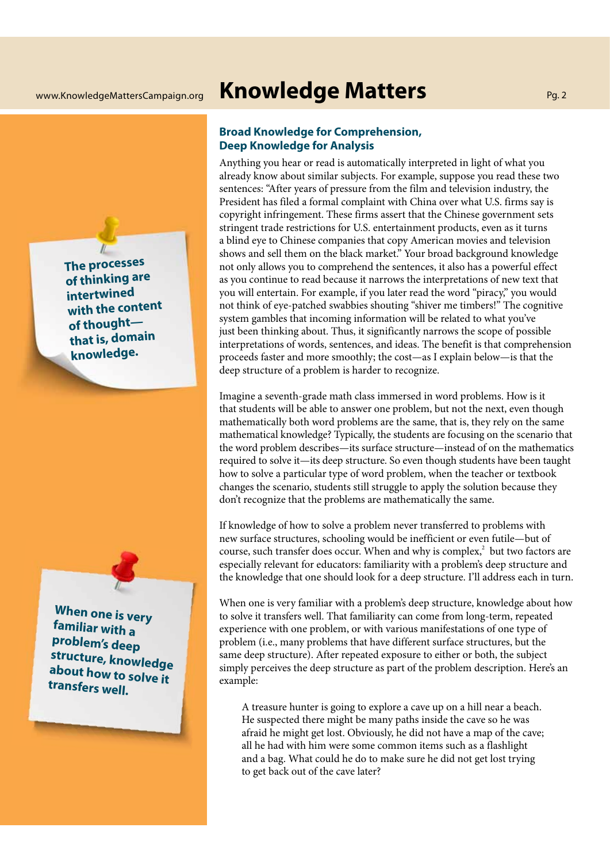**The processes of thinking are intertwined with the content of thought that is, domain knowledge.** 

**When one is very familiar with a problem's deep structure, knowledge about how to solve it transfers well.**

### www.KnowledgeMattersCampaign.org **Knowledge Matters** Pg. 2

#### **Broad Knowledge for Comprehension, Deep Knowledge for Analysis**

Anything you hear or read is automatically interpreted in light of what you already know about similar subjects. For example, suppose you read these two sentences: "After years of pressure from the film and television industry, the President has filed a formal complaint with China over what U.S. firms say is copyright infringement. These firms assert that the Chinese government sets stringent trade restrictions for U.S. entertainment products, even as it turns a blind eye to Chinese companies that copy American movies and television shows and sell them on the black market." Your broad background knowledge not only allows you to comprehend the sentences, it also has a powerful effect as you continue to read because it narrows the interpretations of new text that you will entertain. For example, if you later read the word "piracy," you would not think of eye-patched swabbies shouting "shiver me timbers!" The cognitive system gambles that incoming information will be related to what you've just been thinking about. Thus, it significantly narrows the scope of possible interpretations of words, sentences, and ideas. The benefit is that comprehension proceeds faster and more smoothly; the cost—as I explain below—is that the deep structure of a problem is harder to recognize.

Imagine a seventh-grade math class immersed in word problems. How is it that students will be able to answer one problem, but not the next, even though mathematically both word problems are the same, that is, they rely on the same mathematical knowledge? Typically, the students are focusing on the scenario that the word problem describes—its surface structure—instead of on the mathematics required to solve it—its deep structure. So even though students have been taught how to solve a particular type of word problem, when the teacher or textbook changes the scenario, students still struggle to apply the solution because they don't recognize that the problems are mathematically the same.

If knowledge of how to solve a problem never transferred to problems with new surface structures, schooling would be inefficient or even futile—but of course, such transfer does occur. When and why is complex, $2$  but two factors are especially relevant for educators: familiarity with a problem's deep structure and the knowledge that one should look for a deep structure. I'll address each in turn.

When one is very familiar with a problem's deep structure, knowledge about how to solve it transfers well. That familiarity can come from long-term, repeated experience with one problem, or with various manifestations of one type of problem (i.e., many problems that have different surface structures, but the same deep structure). After repeated exposure to either or both, the subject simply perceives the deep structure as part of the problem description. Here's an example:

A treasure hunter is going to explore a cave up on a hill near a beach. He suspected there might be many paths inside the cave so he was afraid he might get lost. Obviously, he did not have a map of the cave; all he had with him were some common items such as a flashlight and a bag. What could he do to make sure he did not get lost trying to get back out of the cave later?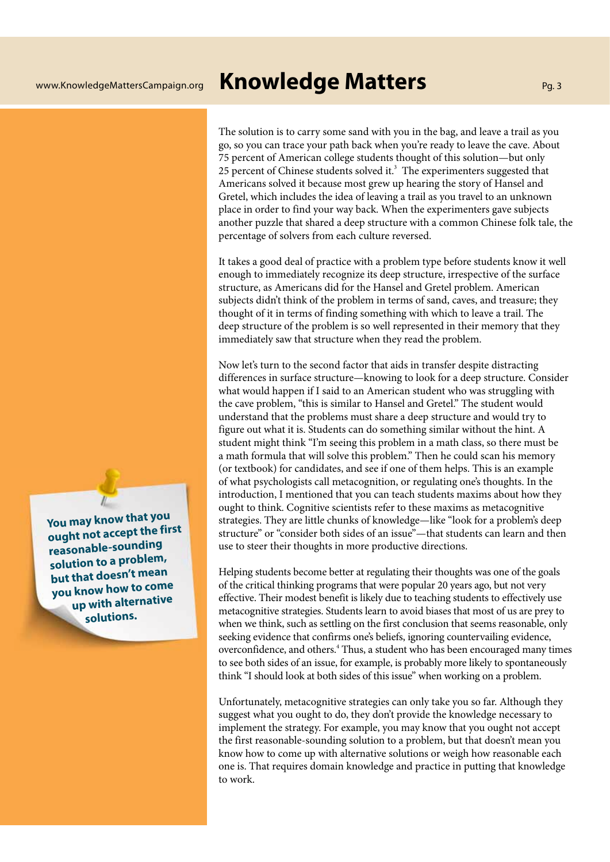**You may know that you ought not accept the first reasonable-sounding solution to a problem, but that doesn't mean you know how to come up with alternative solutions.**

### www.KnowledgeMattersCampaign.org **Knowledge Matters** Pg. 3

The solution is to carry some sand with you in the bag, and leave a trail as you go, so you can trace your path back when you're ready to leave the cave. About 75 percent of American college students thought of this solution—but only 25 percent of Chinese students solved it. $3$  The experimenters suggested that Americans solved it because most grew up hearing the story of Hansel and Gretel, which includes the idea of leaving a trail as you travel to an unknown place in order to find your way back. When the experimenters gave subjects another puzzle that shared a deep structure with a common Chinese folk tale, the percentage of solvers from each culture reversed.

It takes a good deal of practice with a problem type before students know it well enough to immediately recognize its deep structure, irrespective of the surface structure, as Americans did for the Hansel and Gretel problem. American subjects didn't think of the problem in terms of sand, caves, and treasure; they thought of it in terms of finding something with which to leave a trail. The deep structure of the problem is so well represented in their memory that they immediately saw that structure when they read the problem.

Now let's turn to the second factor that aids in transfer despite distracting differences in surface structure—knowing to look for a deep structure. Consider what would happen if I said to an American student who was struggling with the cave problem, "this is similar to Hansel and Gretel." The student would understand that the problems must share a deep structure and would try to figure out what it is. Students can do something similar without the hint. A student might think "I'm seeing this problem in a math class, so there must be a math formula that will solve this problem." Then he could scan his memory (or textbook) for candidates, and see if one of them helps. This is an example of what psychologists call metacognition, or regulating one's thoughts. In the introduction, I mentioned that you can teach students maxims about how they ought to think. Cognitive scientists refer to these maxims as metacognitive strategies. They are little chunks of knowledge—like "look for a problem's deep structure" or "consider both sides of an issue"—that students can learn and then use to steer their thoughts in more productive directions.

Helping students become better at regulating their thoughts was one of the goals of the critical thinking programs that were popular 20 years ago, but not very effective. Their modest benefit is likely due to teaching students to effectively use metacognitive strategies. Students learn to avoid biases that most of us are prey to when we think, such as settling on the first conclusion that seems reasonable, only seeking evidence that confirms one's beliefs, ignoring countervailing evidence, overconfidence, and others.<sup>4</sup> Thus, a student who has been encouraged many times to see both sides of an issue, for example, is probably more likely to spontaneously think "I should look at both sides of this issue" when working on a problem.

Unfortunately, metacognitive strategies can only take you so far. Although they suggest what you ought to do, they don't provide the knowledge necessary to implement the strategy. For example, you may know that you ought not accept the first reasonable-sounding solution to a problem, but that doesn't mean you know how to come up with alternative solutions or weigh how reasonable each one is. That requires domain knowledge and practice in putting that knowledge to work.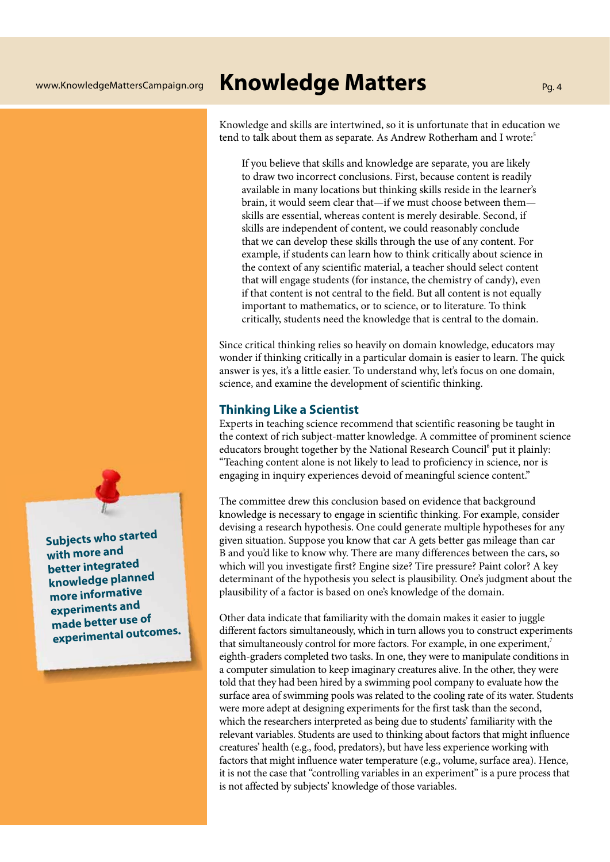Knowledge and skills are intertwined, so it is unfortunate that in education we tend to talk about them as separate. As Andrew Rotherham and I wrote:<sup>5</sup>

If you believe that skills and knowledge are separate, you are likely to draw two incorrect conclusions. First, because content is readily available in many locations but thinking skills reside in the learner's brain, it would seem clear that—if we must choose between them skills are essential, whereas content is merely desirable. Second, if skills are independent of content, we could reasonably conclude that we can develop these skills through the use of any content. For example, if students can learn how to think critically about science in the context of any scientific material, a teacher should select content that will engage students (for instance, the chemistry of candy), even if that content is not central to the field. But all content is not equally important to mathematics, or to science, or to literature. To think critically, students need the knowledge that is central to the domain.

Since critical thinking relies so heavily on domain knowledge, educators may wonder if thinking critically in a particular domain is easier to learn. The quick answer is yes, it's a little easier. To understand why, let's focus on one domain, science, and examine the development of scientific thinking.

### **Thinking Like a Scientist**

Experts in teaching science recommend that scientific reasoning be taught in the context of rich subject-matter knowledge. A committee of prominent science educators brought together by the National Research Council<sup>6</sup> put it plainly: "Teaching content alone is not likely to lead to proficiency in science, nor is engaging in inquiry experiences devoid of meaningful science content."

The committee drew this conclusion based on evidence that background knowledge is necessary to engage in scientific thinking. For example, consider devising a research hypothesis. One could generate multiple hypotheses for any given situation. Suppose you know that car A gets better gas mileage than car B and you'd like to know why. There are many differences between the cars, so which will you investigate first? Engine size? Tire pressure? Paint color? A key determinant of the hypothesis you select is plausibility. One's judgment about the plausibility of a factor is based on one's knowledge of the domain.

Other data indicate that familiarity with the domain makes it easier to juggle different factors simultaneously, which in turn allows you to construct experiments that simultaneously control for more factors. For example, in one experiment, $^7$ eighth-graders completed two tasks. In one, they were to manipulate conditions in a computer simulation to keep imaginary creatures alive. In the other, they were told that they had been hired by a swimming pool company to evaluate how the surface area of swimming pools was related to the cooling rate of its water. Students were more adept at designing experiments for the first task than the second, which the researchers interpreted as being due to students' familiarity with the relevant variables. Students are used to thinking about factors that might influence creatures' health (e.g., food, predators), but have less experience working with factors that might influence water temperature (e.g., volume, surface area). Hence, it is not the case that "controlling variables in an experiment" is a pure process that is not affected by subjects' knowledge of those variables.

**Subjects who starte<sup>d</sup> with more an<sup>d</sup> better integrated knowledge planned more informative experiments an<sup>d</sup> made better use of experimental outcomes.**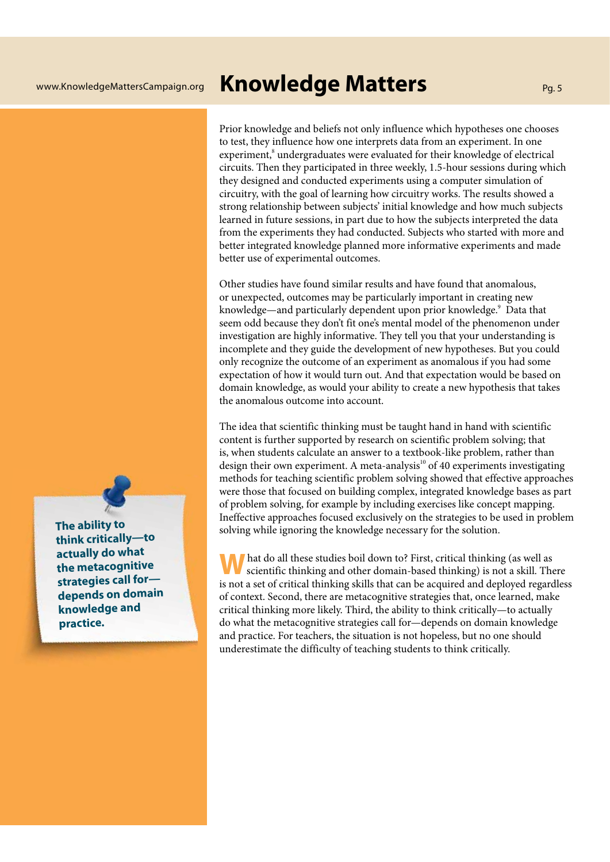Prior knowledge and beliefs not only influence which hypotheses one chooses to test, they influence how one interprets data from an experiment. In one experiment,<sup>8</sup> undergraduates were evaluated for their knowledge of electrical circuits. Then they participated in three weekly, 1.5-hour sessions during which they designed and conducted experiments using a computer simulation of circuitry, with the goal of learning how circuitry works. The results showed a strong relationship between subjects' initial knowledge and how much subjects learned in future sessions, in part due to how the subjects interpreted the data from the experiments they had conducted. Subjects who started with more and better integrated knowledge planned more informative experiments and made better use of experimental outcomes.

Other studies have found similar results and have found that anomalous, or unexpected, outcomes may be particularly important in creating new knowledge—and particularly dependent upon prior knowledge.<sup>9</sup> Data that seem odd because they don't fit one's mental model of the phenomenon under investigation are highly informative. They tell you that your understanding is incomplete and they guide the development of new hypotheses. But you could only recognize the outcome of an experiment as anomalous if you had some expectation of how it would turn out. And that expectation would be based on domain knowledge, as would your ability to create a new hypothesis that takes the anomalous outcome into account.

The idea that scientific thinking must be taught hand in hand with scientific content is further supported by research on scientific problem solving; that is, when students calculate an answer to a textbook-like problem, rather than design their own experiment. A meta-analysis $^{10}$  of 40 experiments investigating methods for teaching scientific problem solving showed that effective approaches were those that focused on building complex, integrated knowledge bases as part of problem solving, for example by including exercises like concept mapping. Ineffective approaches focused exclusively on the strategies to be used in problem solving while ignoring the knowledge necessary for the solution.

**W**hat do all these studies boil down to? First, critical thinking (as well as scientific thinking and other domain-based thinking) is not a skill. There is not a set of critical thinking skills that can be acquired and deployed regardless of context. Second, there are metacognitive strategies that, once learned, make critical thinking more likely. Third, the ability to think critically—to actually do what the metacognitive strategies call for—depends on domain knowledge and practice. For teachers, the situation is not hopeless, but no one should underestimate the difficulty of teaching students to think critically.

**The ability to think critically—to actually do what the metacognitive strategies call for depends on domain knowledge and practice.**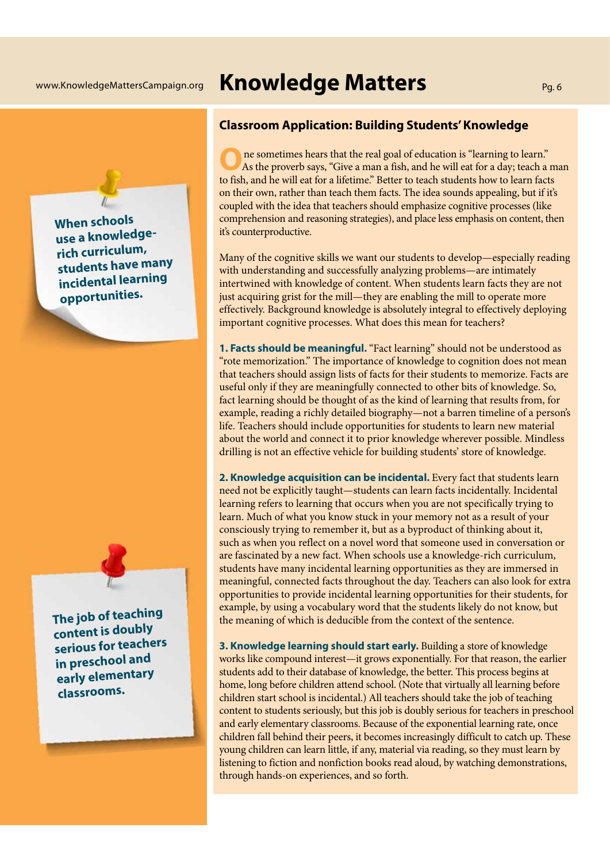

**O**ne sometimes hears that the real goal of education is "learning to learn."<br>As the proverb says, "Give a man a fish, and he will eat for a day; teach a man to fish, and he will eat for a lifetime." Better to teach students how to learn facts on their own, rather than teach them facts. The idea sounds appealing, but if it's coupled with the idea that teachers should emphasize cognitive processes (like comprehension and reasoning strategies), and place less emphasis on content, then it's counterproductive.

Many of the cognitive skills we want our students to develop—especially reading with understanding and successfully analyzing problems—are intimately intertwined with knowledge of content. When students learn facts they are not just acquiring grist for the mill—they are enabling the mill to operate more effectively. Background knowledge is absolutely integral to effectively deploying important cognitive processes. What does this mean for teachers?

**1. Facts should be meaningful.** "Fact learning" should not be understood as "rote memorization." The importance of knowledge to cognition does not mean that teachers should assign lists of facts for their students to memorize. Facts are useful only if they are meaningfully connected to other bits of knowledge. So, fact learning should be thought of as the kind of learning that results from, for example, reading a richly detailed biography—not a barren timeline of a person's life. Teachers should include opportunities for students to learn new material about the world and connect it to prior knowledge wherever possible. Mindless drilling is not an effective vehicle for building students' store of knowledge.

**2. Knowledge acquisition can be incidental.** Every fact that students learn need not be explicitly taught—students can learn facts incidentally. Incidental learning refers to learning that occurs when you are not specifically trying to learn. Much of what you know stuck in your memory not as a result of your consciously trying to remember it, but as a byproduct of thinking about it, such as when you reflect on a novel word that someone used in conversation or are fascinated by a new fact. When schools use a knowledge-rich curriculum, students have many incidental learning opportunities as they are immersed in meaningful, connected facts throughout the day. Teachers can also look for extra opportunities to provide incidental learning opportunities for their students, for example, by using a vocabulary word that the students likely do not know, but the meaning of which is deducible from the context of the sentence.

**3. Knowledge learning should start early.** Building a store of knowledge works like compound interest—it grows exponentially. For that reason, the earlier students add to their database of knowledge, the better. This process begins at home, long before children attend school. (Note that virtually all learning before children start school is incidental.) All teachers should take the job of teaching content to students seriously, but this job is doubly serious for teachers in preschool and early elementary classrooms. Because of the exponential learning rate, once children fall behind their peers, it becomes increasingly difficult to catch up. These young children can learn little, if any, material via reading, so they must learn by listening to fiction and nonfiction books read aloud, by watching demonstrations, through hands-on experiences, and so forth.

**When schools use a knowledgerich curriculum, students have many incidental learning opportunities.**



**content is doubly serious for teachers in preschool and early elementary classrooms.**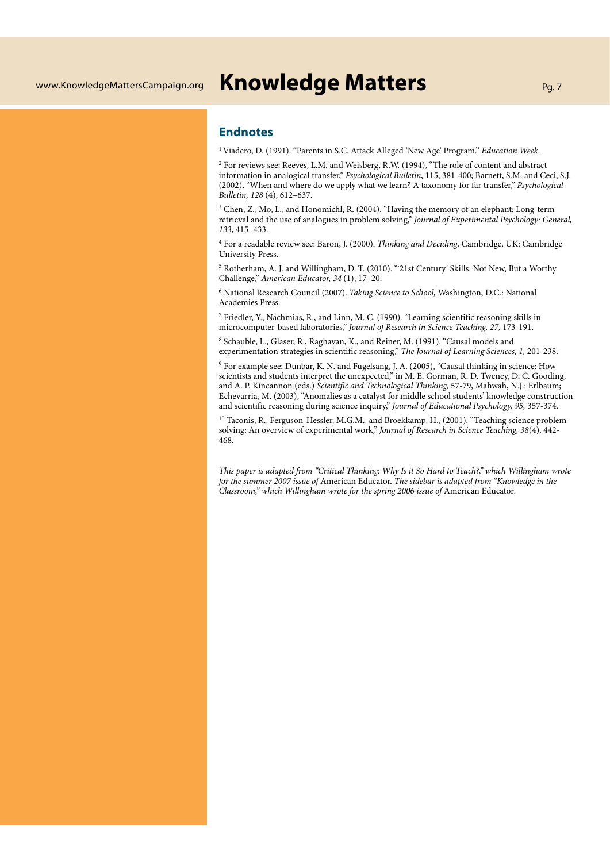#### **Endnotes**

1 Viadero, D. (1991). "Parents in S.C. Attack Alleged 'New Age' Program." *Education Week*.

<sup>2</sup> For reviews see: Reeves, L.M. and Weisberg, R.W. (1994), "The role of content and abstract information in analogical transfer," *Psychological Bulletin*, 115, 381-400; Barnett, S.M. and Ceci, S.J. (2002), "When and where do we apply what we learn? A taxonomy for far transfer," *Psychological Bulletin, 128* (4), 612–637.

<sup>3</sup> Chen, Z., Mo, L., and Honomichl, R. (2004). "Having the memory of an elephant: Long-term retrieval and the use of analogues in problem solving," *Journal of Experimental Psychology: General, 133*, 415–433.

<sup>4</sup> For a readable review see: Baron, J. (2000). *Thinking and Deciding*, Cambridge, UK: Cambridge University Press.

<sup>5</sup> Rotherham, A. J. and Willingham, D. T. (2010). "'21st Century' Skills: Not New, But a Worthy Challenge," *American Educator, 34* (1), 17–20.

<sup>6</sup> National Research Council (2007). *Taking Science to School,* Washington, D.C.: National Academies Press.

<sup>7</sup> Friedler, Y., Nachmias, R., and Linn, M. C. (1990). "Learning scientific reasoning skills in microcomputer-based laboratories," *Journal of Research in Science Teaching, 27,* 173-191.

<sup>8</sup> Schauble, L., Glaser, R., Raghavan, K., and Reiner, M. (1991). "Causal models and experimentation strategies in scientific reasoning," *The Journal of Learning Sciences, 1,* 201-238.

<sup>9</sup> For example see: Dunbar, K. N. and Fugelsang, J. A. (2005), "Causal thinking in science: How scientists and students interpret the unexpected," in M. E. Gorman, R. D. Tweney, D. C. Gooding, and A. P. Kincannon (eds.) *Scientific and Technological Thinking,* 57-79, Mahwah, N.J.: Erlbaum; Echevarria, M. (2003), "Anomalies as a catalyst for middle school students' knowledge construction and scientific reasoning during science inquiry," *Journal of Educational Psychology, 95,* 357-374.

<sup>10</sup> Taconis, R., Ferguson-Hessler, M.G.M., and Broekkamp, H., (2001). "Teaching science problem solving: An overview of experimental work," *Journal of Research in Science Teaching, 38*(4), 442- 468.

*This paper is adapted from "Critical Thinking: Why Is it So Hard to Teach?," which Willingham wrote for the summer 2007 issue of* American Educator. *The sidebar is adapted from "Knowledge in the Classroom," which Willingham wrote for the spring 2006 issue of* American Educator*.*